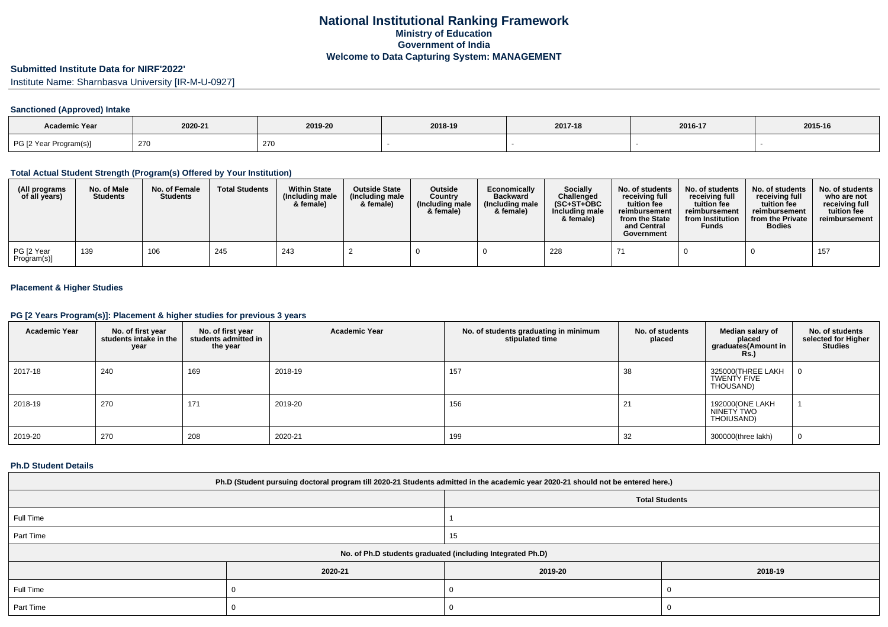# **Submitted Institute Data for NIRF'2022'**

Institute Name: Sharnbasva University [IR-M-U-0927]

## **Sanctioned (Approved) Intake**

| <b>Academic Year</b>   |         |         |         |         |         |         |
|------------------------|---------|---------|---------|---------|---------|---------|
|                        | 2020-21 | 2019-20 | 2018-19 | 2017-18 | 2016-17 | 2015-16 |
| PG [2 Year Program(s)] | 27C     | 270     |         |         |         |         |

#### **Total Actual Student Strength (Program(s) Offered by Your Institution)**

| (All programs<br>of all years) | No. of Male<br><b>Students</b> | No. of Female<br><b>Students</b> | <b>Total Students</b> | <b>Within State</b><br>(Including male<br>& female) | <b>Outside State</b><br>(Including male<br>& female) | Outside<br>Country<br>(Including male<br>& female) | Economically<br><b>Backward</b><br>(Including male<br>& female) | <b>Socially</b><br>Challenged<br>$(SC+ST+OBC$<br>Including male<br>& female) | No. of students<br>receivina full<br>tuition fee<br>reimbursement<br>from the State<br>and Central<br>Government | No. of students<br>receiving full<br>tuition fee<br>reimbursement<br>from Institution<br><b>Funds</b> | No. of students<br>receiving full<br>tuition fee<br>reimbursement<br>from the Private<br><b>Bodies</b> | No. of students  <br>who are not<br>receivina full<br>tuition fee<br>reimbursement |
|--------------------------------|--------------------------------|----------------------------------|-----------------------|-----------------------------------------------------|------------------------------------------------------|----------------------------------------------------|-----------------------------------------------------------------|------------------------------------------------------------------------------|------------------------------------------------------------------------------------------------------------------|-------------------------------------------------------------------------------------------------------|--------------------------------------------------------------------------------------------------------|------------------------------------------------------------------------------------|
| PG [2 Year<br>Program(s)]      | 139                            | 106                              | 245                   | 243                                                 |                                                      |                                                    |                                                                 | 228                                                                          |                                                                                                                  |                                                                                                       |                                                                                                        | 157                                                                                |

## **Placement & Higher Studies**

## **PG [2 Years Program(s)]: Placement & higher studies for previous 3 years**

| <b>Academic Year</b> | No. of first year<br>students intake in the<br>year | No. of first year<br>students admitted in<br>the year | <b>Academic Year</b> | No. of students graduating in minimum<br>stipulated time | No. of students<br>placed | Median salary of<br>placed<br>graduates(Amount in<br><b>Rs.)</b> | No. of students<br>selected for Higher<br><b>Studies</b> |
|----------------------|-----------------------------------------------------|-------------------------------------------------------|----------------------|----------------------------------------------------------|---------------------------|------------------------------------------------------------------|----------------------------------------------------------|
| 2017-18              | 240                                                 | 169                                                   | 2018-19              | 157                                                      | 38                        | 325000(THREE LAKH<br>TWENTY FIVE<br>THOUSAND)                    | 0                                                        |
| 2018-19              | 270                                                 | 171                                                   | 2019-20              | 156                                                      | 21                        | 192000(ONE LAKH<br>NINETY TWO<br>THOIUSAND)                      |                                                          |
| 2019-20              | 270                                                 | 208                                                   | 2020-21              | 199                                                      | 32                        | 300000(three lakh)                                               | 0                                                        |

#### **Ph.D Student Details**

| Ph.D (Student pursuing doctoral program till 2020-21 Students admitted in the academic year 2020-21 should not be entered here.) |                                                            |                       |         |  |  |  |  |
|----------------------------------------------------------------------------------------------------------------------------------|------------------------------------------------------------|-----------------------|---------|--|--|--|--|
|                                                                                                                                  |                                                            | <b>Total Students</b> |         |  |  |  |  |
| Full Time                                                                                                                        |                                                            |                       |         |  |  |  |  |
| Part Time                                                                                                                        |                                                            | 15                    |         |  |  |  |  |
|                                                                                                                                  | No. of Ph.D students graduated (including Integrated Ph.D) |                       |         |  |  |  |  |
|                                                                                                                                  | 2020-21                                                    | 2019-20               | 2018-19 |  |  |  |  |
| Full Time                                                                                                                        |                                                            |                       |         |  |  |  |  |
| Part Time                                                                                                                        |                                                            |                       |         |  |  |  |  |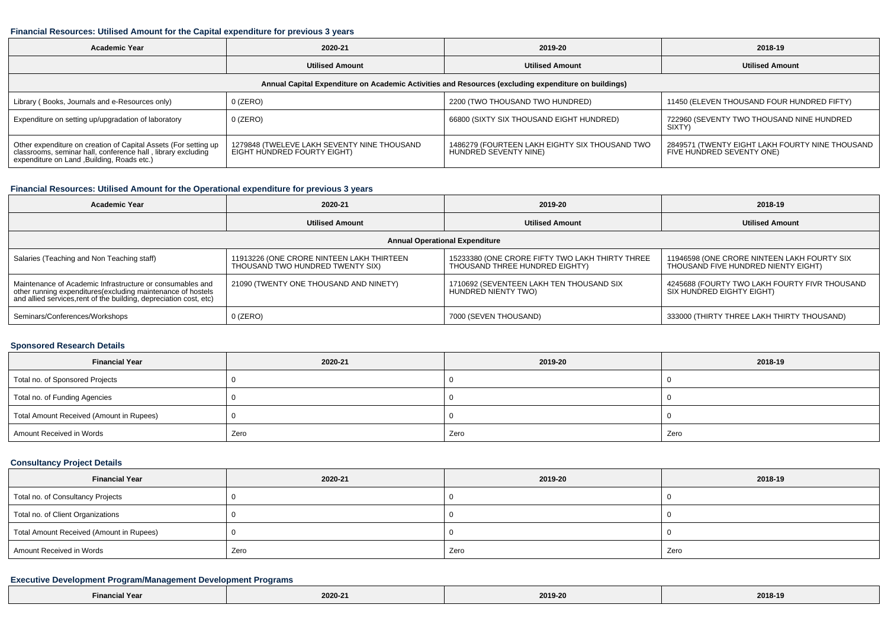#### **Financial Resources: Utilised Amount for the Capital expenditure for previous 3 years**

| <b>Academic Year</b>                                                                                                                                                           | 2020-21                                                                    |                                                                         | 2018-19                                                                      |  |  |  |  |  |
|--------------------------------------------------------------------------------------------------------------------------------------------------------------------------------|----------------------------------------------------------------------------|-------------------------------------------------------------------------|------------------------------------------------------------------------------|--|--|--|--|--|
|                                                                                                                                                                                | <b>Utilised Amount</b>                                                     | <b>Utilised Amount</b>                                                  | <b>Utilised Amount</b>                                                       |  |  |  |  |  |
| Annual Capital Expenditure on Academic Activities and Resources (excluding expenditure on buildings)                                                                           |                                                                            |                                                                         |                                                                              |  |  |  |  |  |
| Library (Books, Journals and e-Resources only)                                                                                                                                 | 0 (ZERO)                                                                   | 2200 (TWO THOUSAND TWO HUNDRED)                                         | 11450 (ELEVEN THOUSAND FOUR HUNDRED FIFTY)                                   |  |  |  |  |  |
| Expenditure on setting up/upgradation of laboratory                                                                                                                            | 0 (ZERO)                                                                   | 66800 (SIXTY SIX THOUSAND EIGHT HUNDRED)                                | 722960 (SEVENTY TWO THOUSAND NINE HUNDRED<br>SIXTY)                          |  |  |  |  |  |
| Other expenditure on creation of Capital Assets (For setting up<br>classrooms, seminar hall, conference hall, library excluding<br>expenditure on Land , Building, Roads etc.) | 1279848 (TWELEVE LAKH SEVENTY NINE THOUSAND<br>EIGHT HÜNDRED FOURTY EIGHT) | 1486279 (FOURTEEN LAKH EIGHTY SIX THOUSAND TWO<br>HUNDRED SEVENTY NINE) | 2849571 (TWENTY EIGHT LAKH FOURTY NINE THOUSAND<br>FIVE HUNDRED SEVENTY ONE) |  |  |  |  |  |

## **Financial Resources: Utilised Amount for the Operational expenditure for previous 3 years**

| <b>Academic Year</b>                                                                                                                                                                            | 2020-21                                                                       | 2019-20                                                                           | 2018-19                                                                            |  |  |  |  |  |
|-------------------------------------------------------------------------------------------------------------------------------------------------------------------------------------------------|-------------------------------------------------------------------------------|-----------------------------------------------------------------------------------|------------------------------------------------------------------------------------|--|--|--|--|--|
|                                                                                                                                                                                                 | <b>Utilised Amount</b>                                                        | <b>Utilised Amount</b>                                                            | <b>Utilised Amount</b>                                                             |  |  |  |  |  |
| <b>Annual Operational Expenditure</b>                                                                                                                                                           |                                                                               |                                                                                   |                                                                                    |  |  |  |  |  |
| Salaries (Teaching and Non Teaching staff)                                                                                                                                                      | 11913226 (ONE CRORE NINTEEN LAKH THIRTEEN<br>THOUSAND TWO HUNDRED TWENTY SIX) | 15233380 (ONE CRORE FIFTY TWO LAKH THIRTY THREE<br>THOUSAND THREE HUNDRED EIGHTY) | 11946598 (ONE CRORE NINTEEN LAKH FOURTY SIX<br>THOUSAND FIVE HUNDRED NIENTY EIGHT) |  |  |  |  |  |
| Maintenance of Academic Infrastructure or consumables and<br>other running expenditures (excluding maintenance of hostels<br>and allied services, rent of the building, depreciation cost, etc) | 21090 (TWENTY ONE THOUSAND AND NINETY)                                        | 1710692 (SEVENTEEN LAKH TEN THOUSAND SIX<br>HUNDRED NIENTY TWO)                   | 4245688 (FOURTY TWO LAKH FOURTY FIVR THOUSAND<br>SIX HUNDRED EIGHTY EIGHT)         |  |  |  |  |  |
| Seminars/Conferences/Workshops                                                                                                                                                                  | $0$ (ZERO)                                                                    | 7000 (SEVEN THOUSAND)                                                             | 333000 (THIRTY THREE LAKH THIRTY THOUSAND)                                         |  |  |  |  |  |

#### **Sponsored Research Details**

| <b>Financial Year</b>                    | 2020-21 | 2019-20 | 2018-19 |  |
|------------------------------------------|---------|---------|---------|--|
| Total no. of Sponsored Projects          |         |         |         |  |
| Total no. of Funding Agencies            |         |         |         |  |
| Total Amount Received (Amount in Rupees) |         |         |         |  |
| Amount Received in Words                 | Zero    | Zero    | Zero    |  |

## **Consultancy Project Details**

| <b>Financial Year</b>                    | 2020-21 | 2019-20 | 2018-19 |  |
|------------------------------------------|---------|---------|---------|--|
| Total no. of Consultancy Projects        |         |         |         |  |
| Total no. of Client Organizations        |         |         |         |  |
| Total Amount Received (Amount in Rupees) |         |         |         |  |
| Amount Received in Words                 | Zero    | Zero    | Zero    |  |

## **Executive Development Program/Management Development Programs**

| Financial Year | 2020-21 | 2019-20 | 2018-19 |
|----------------|---------|---------|---------|
|----------------|---------|---------|---------|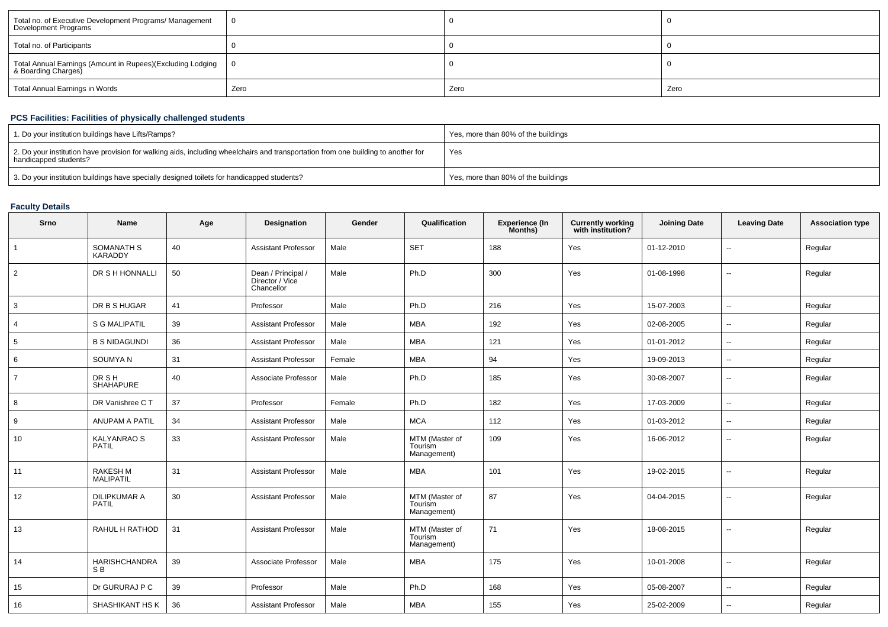| Total no. of Executive Development Programs/ Management<br>Development Programs   |      |      |      |
|-----------------------------------------------------------------------------------|------|------|------|
| Total no. of Participants                                                         |      |      |      |
| Total Annual Earnings (Amount in Rupees)(Excluding Lodging<br>& Boarding Charges) |      |      |      |
| Total Annual Earnings in Words                                                    | Zero | Zero | Zero |

## **PCS Facilities: Facilities of physically challenged students**

| 1. Do your institution buildings have Lifts/Ramps?                                                                                                         | Yes, more than 80% of the buildings |
|------------------------------------------------------------------------------------------------------------------------------------------------------------|-------------------------------------|
| 2. Do your institution have provision for walking aids, including wheelchairs and transportation from one building to another for<br>handicapped students? | Yes                                 |
| 3. Do your institution buildings have specially designed toilets for handicapped students?                                                                 | Yes, more than 80% of the buildings |

## **Faculty Details**

| Srno           | <b>Name</b>                         | Age | Designation                                         | Gender | Qualification                            | <b>Experience (In</b><br>Months) | <b>Currently working</b><br>with institution? | <b>Joining Date</b> | <b>Leaving Date</b>      | <b>Association type</b> |
|----------------|-------------------------------------|-----|-----------------------------------------------------|--------|------------------------------------------|----------------------------------|-----------------------------------------------|---------------------|--------------------------|-------------------------|
|                | SOMANATH S<br><b>KARADDY</b>        | 40  | <b>Assistant Professor</b>                          | Male   | <b>SET</b>                               | 188                              | Yes                                           | 01-12-2010          | ٠.                       | Regular                 |
| $\overline{2}$ | DR S H HONNALLI                     | 50  | Dean / Principal /<br>Director / Vice<br>Chancellor | Male   | Ph.D                                     | 300                              | Yes                                           | 01-08-1998          | $\sim$                   | Regular                 |
| 3              | DR B S HUGAR                        | 41  | Professor                                           | Male   | Ph.D                                     | 216                              | Yes                                           | 15-07-2003          | u.                       | Regular                 |
| 4              | <b>S G MALIPATIL</b>                | 39  | <b>Assistant Professor</b>                          | Male   | <b>MBA</b>                               | 192                              | Yes                                           | 02-08-2005          | ⊷.                       | Regular                 |
| 5              | <b>B S NIDAGUNDI</b>                | 36  | <b>Assistant Professor</b>                          | Male   | <b>MBA</b>                               | 121                              | Yes                                           | 01-01-2012          | $\overline{\phantom{a}}$ | Regular                 |
| 6              | SOUMYAN                             | 31  | <b>Assistant Professor</b>                          | Female | <b>MBA</b>                               | 94                               | Yes                                           | 19-09-2013          | $\overline{\phantom{a}}$ | Regular                 |
| $\overline{7}$ | DR SH<br><b>SHAHAPURE</b>           | 40  | Associate Professor                                 | Male   | Ph.D                                     | 185                              | Yes                                           | 30-08-2007          | ۰.                       | Regular                 |
| 8              | DR Vanishree C T                    | 37  | Professor                                           | Female | Ph.D                                     | 182                              | Yes                                           | 17-03-2009          | $\sim$                   | Regular                 |
| 9              | ANUPAM A PATIL                      | 34  | <b>Assistant Professor</b>                          | Male   | <b>MCA</b>                               | 112                              | Yes                                           | 01-03-2012          | $\overline{\phantom{a}}$ | Regular                 |
| 10             | <b>KALYANRAO S</b><br><b>PATIL</b>  | 33  | <b>Assistant Professor</b>                          | Male   | MTM (Master of<br>Tourism<br>Management) | 109                              | Yes                                           | 16-06-2012          | ۰.                       | Regular                 |
| 11             | <b>RAKESH M</b><br><b>MALIPATIL</b> | 31  | <b>Assistant Professor</b>                          | Male   | <b>MBA</b>                               | 101                              | Yes                                           | 19-02-2015          | $\overline{a}$           | Regular                 |
| 12             | <b>DILIPKUMAR A</b><br><b>PATIL</b> | 30  | <b>Assistant Professor</b>                          | Male   | MTM (Master of<br>Tourism<br>Management) | 87                               | Yes                                           | 04-04-2015          | $\sim$                   | Regular                 |
| 13             | RAHUL H RATHOD                      | 31  | <b>Assistant Professor</b>                          | Male   | MTM (Master of<br>Tourism<br>Management) | 71                               | Yes                                           | 18-08-2015          | $\overline{\phantom{a}}$ | Regular                 |
| 14             | <b>HARISHCHANDRA</b><br>S B         | 39  | Associate Professor                                 | Male   | <b>MBA</b>                               | 175                              | Yes                                           | 10-01-2008          | $\overline{\phantom{a}}$ | Regular                 |
| 15             | Dr GURURAJ P C                      | 39  | Professor                                           | Male   | Ph.D                                     | 168                              | Yes                                           | 05-08-2007          | $\overline{\phantom{a}}$ | Regular                 |
| 16             | SHASHIKANT HS K                     | 36  | <b>Assistant Professor</b>                          | Male   | <b>MBA</b>                               | 155                              | Yes                                           | 25-02-2009          | $\overline{a}$           | Regular                 |